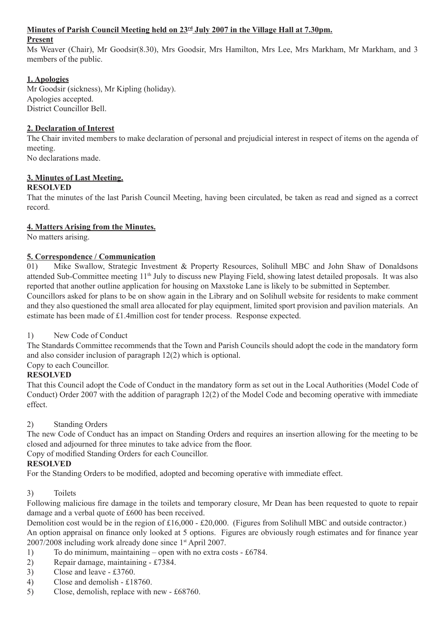## **Minutes of Parish Council Meeting held on 23rd July 2007 in the Village Hall at 7.30pm.**

#### **Present**

Ms Weaver (Chair), Mr Goodsir(8.30), Mrs Goodsir, Mrs Hamilton, Mrs Lee, Mrs Markham, Mr Markham, and 3 members of the public.

## **1. Apologies**

Mr Goodsir (sickness), Mr Kipling (holiday). Apologies accepted. District Councillor Bell.

## **2. Declaration of Interest**

The Chair invited members to make declaration of personal and prejudicial interest in respect of items on the agenda of meeting.

No declarations made.

## **3. Minutes of Last Meeting.**

## **RESOLVED**

That the minutes of the last Parish Council Meeting, having been circulated, be taken as read and signed as a correct record.

## **4. Matters Arising from the Minutes.**

No matters arising.

## **5. Correspondence / Communication**

01) Mike Swallow, Strategic Investment & Property Resources, Solihull MBC and John Shaw of Donaldsons attended Sub-Committee meeting 11th July to discuss new Playing Field, showing latest detailed proposals. It was also reported that another outline application for housing on Maxstoke Lane is likely to be submitted in September. Councillors asked for plans to be on show again in the Library and on Solihull website for residents to make comment and they also questioned the small area allocated for play equipment, limited sport provision and pavilion materials. An estimate has been made of £1.4million cost for tender process. Response expected.

## 1) New Code of Conduct

The Standards Committee recommends that the Town and Parish Councils should adopt the code in the mandatory form and also consider inclusion of paragraph 12(2) which is optional.

## Copy to each Councillor.

## **RESOLVED**

That this Council adopt the Code of Conduct in the mandatory form as set out in the Local Authorities (Model Code of Conduct) Order 2007 with the addition of paragraph 12(2) of the Model Code and becoming operative with immediate effect.

## 2) Standing Orders

The new Code of Conduct has an impact on Standing Orders and requires an insertion allowing for the meeting to be closed and adjourned for three minutes to take advice from the floor.

Copy of modified Standing Orders for each Councillor.

## **RESOLVED**

For the Standing Orders to be modified, adopted and becoming operative with immediate effect.

## 3) Toilets

Following malicious fire damage in the toilets and temporary closure, Mr Dean has been requested to quote to repair damage and a verbal quote of £600 has been received.

Demolition cost would be in the region of £16,000 - £20,000. (Figures from Solihull MBC and outside contractor.) An option appraisal on finance only looked at 5 options. Figures are obviously rough estimates and for finance year 2007/2008 including work already done since 1st April 2007.

- 1) To do minimum, maintaining open with no extra costs £6784.
- 2) Repair damage, maintaining £7384.
- 3) Close and leave £3760.
- 4) Close and demolish £18760.
- 5) Close, demolish, replace with new £68760.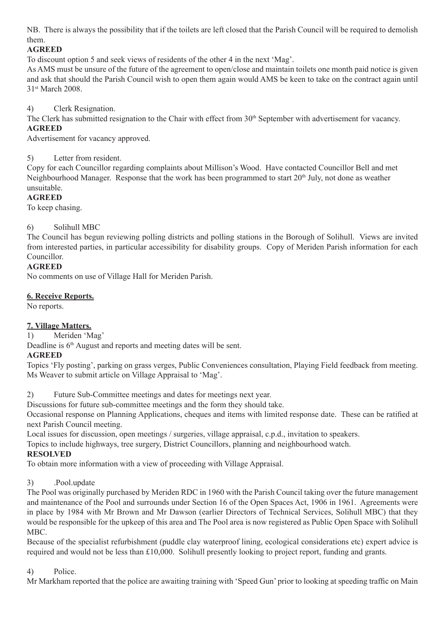NB. There is always the possibility that if the toilets are left closed that the Parish Council will be required to demolish them.

# **AGREED**

To discount option 5 and seek views of residents of the other 4 in the next 'Mag'.

As AMS must be unsure of the future of the agreement to open/close and maintain toilets one month paid notice is given and ask that should the Parish Council wish to open them again would AMS be keen to take on the contract again until 31<sup>st</sup> March 2008.

4) Clerk Resignation.

The Clerk has submitted resignation to the Chair with effect from 30<sup>th</sup> September with advertisement for vacancy. **AGREED**

Advertisement for vacancy approved.

## 5) Letter from resident.

Copy for each Councillor regarding complaints about Millison's Wood. Have contacted Councillor Bell and met Neighbourhood Manager. Response that the work has been programmed to start 20<sup>th</sup> July, not done as weather unsuitable.

## **AGREED**

To keep chasing.

## 6) Solihull MBC

The Council has begun reviewing polling districts and polling stations in the Borough of Solihull. Views are invited from interested parties, in particular accessibility for disability groups. Copy of Meriden Parish information for each **Councillor** 

## **AGREED**

No comments on use of Village Hall for Meriden Parish.

## **6. Receive Reports.**

No reports.

## **7. Village Matters.**

1) Meriden 'Mag'

Deadline is  $6<sup>th</sup>$  August and reports and meeting dates will be sent.

## **AGREED**

Topics 'Fly posting', parking on grass verges, Public Conveniences consultation, Playing Field feedback from meeting. Ms Weaver to submit article on Village Appraisal to 'Mag'.

2) Future Sub-Committee meetings and dates for meetings next year.

Discussions for future sub-committee meetings and the form they should take.

Occasional response on Planning Applications, cheques and items with limited response date. These can be ratified at next Parish Council meeting.

Local issues for discussion, open meetings / surgeries, village appraisal, c.p.d., invitation to speakers.

Topics to include highways, tree surgery, District Councillors, planning and neighbourhood watch.

## **RESOLVED**

To obtain more information with a view of proceeding with Village Appraisal.

## 3) .Pool.update

The Pool was originally purchased by Meriden RDC in 1960 with the Parish Council taking over the future management and maintenance of the Pool and surrounds under Section 16 of the Open Spaces Act, 1906 in 1961. Agreements were in place by 1984 with Mr Brown and Mr Dawson (earlier Directors of Technical Services, Solihull MBC) that they would be responsible for the upkeep of this area and The Pool area is now registered as Public Open Space with Solihull MBC.

Because of the specialist refurbishment (puddle clay waterproof lining, ecological considerations etc) expert advice is required and would not be less than £10,000. Solihull presently looking to project report, funding and grants.

## 4) Police.

Mr Markham reported that the police are awaiting training with 'Speed Gun' prior to looking at speeding traffic on Main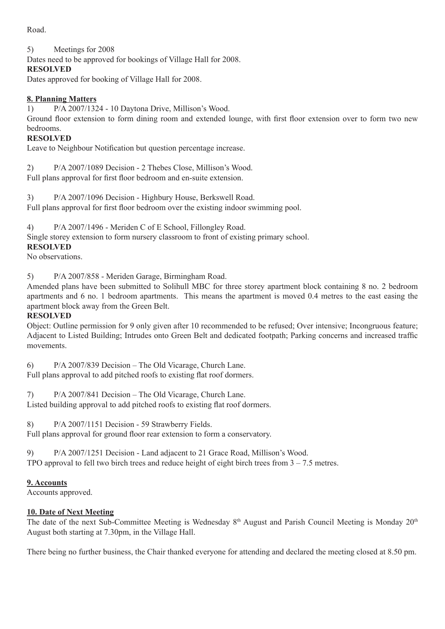Road.

## 5) Meetings for 2008

Dates need to be approved for bookings of Village Hall for 2008.

## **RESOLVED**

Dates approved for booking of Village Hall for 2008.

## **8. Planning Matters**

1) P/A 2007/1324 - 10 Daytona Drive, Millison's Wood.

Ground floor extension to form dining room and extended lounge, with first floor extension over to form two new bedrooms.

## **RESOLVED**

Leave to Neighbour Notification but question percentage increase.

2) P/A 2007/1089 Decision - 2 Thebes Close, Millison's Wood. Full plans approval for first floor bedroom and en-suite extension.

3) P/A 2007/1096 Decision - Highbury House, Berkswell Road. Full plans approval for first floor bedroom over the existing indoor swimming pool.

4) P/A 2007/1496 - Meriden C of E School, Fillongley Road.

Single storey extension to form nursery classroom to front of existing primary school.

## **RESOLVED**

No observations.

5) P/A 2007/858 - Meriden Garage, Birmingham Road.

Amended plans have been submitted to Solihull MBC for three storey apartment block containing 8 no. 2 bedroom apartments and 6 no. 1 bedroom apartments. This means the apartment is moved 0.4 metres to the east easing the apartment block away from the Green Belt.

## **RESOLVED**

Object: Outline permission for 9 only given after 10 recommended to be refused; Over intensive; Incongruous feature; Adjacent to Listed Building; Intrudes onto Green Belt and dedicated footpath; Parking concerns and increased traffic movements.

6) P/A 2007/839 Decision – The Old Vicarage, Church Lane.

Full plans approval to add pitched roofs to existing flat roof dormers.

7) P/A 2007/841 Decision – The Old Vicarage, Church Lane.

Listed building approval to add pitched roofs to existing flat roof dormers.

8) P/A 2007/1151 Decision - 59 Strawberry Fields.

Full plans approval for ground floor rear extension to form a conservatory.

9) P/A 2007/1251 Decision - Land adjacent to 21 Grace Road, Millison's Wood. TPO approval to fell two birch trees and reduce height of eight birch trees from  $3 - 7.5$  metres.

## **9. Accounts**

Accounts approved.

## **10. Date of Next Meeting**

The date of the next Sub-Committee Meeting is Wednesday 8<sup>th</sup> August and Parish Council Meeting is Monday 20<sup>th</sup> August both starting at 7.30pm, in the Village Hall.

There being no further business, the Chair thanked everyone for attending and declared the meeting closed at 8.50 pm.